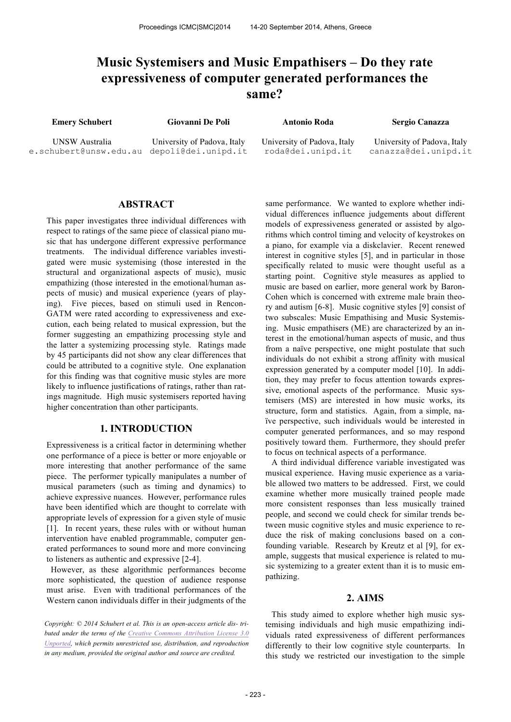# **Music Systemisers and Music Empathisers – Do they rate expressiveness of computer generated performances the same?**

**Emery Schubert Giovanni De Poli Antonio Roda Sergio Canazza** 

UNSW Australia e.schubert@unsw.edu.au depoli@dei.unipd.it

University of Padova, Italy

University of Padova, Italy roda@dei.unipd.it

University of Padova, Italy canazza@dei.unipd.it

## **ABSTRACT**

This paper investigates three individual differences with respect to ratings of the same piece of classical piano music that has undergone different expressive performance treatments. The individual difference variables investigated were music systemising (those interested in the structural and organizational aspects of music), music empathizing (those interested in the emotional/human aspects of music) and musical experience (years of playing). Five pieces, based on stimuli used in Rencon-GATM were rated according to expressiveness and execution, each being related to musical expression, but the former suggesting an empathizing processing style and the latter a systemizing processing style. Ratings made by 45 participants did not show any clear differences that could be attributed to a cognitive style. One explanation for this finding was that cognitive music styles are more likely to influence justifications of ratings, rather than ratings magnitude. High music systemisers reported having higher concentration than other participants.

### **1. INTRODUCTION**

Expressiveness is a critical factor in determining whether one performance of a piece is better or more enjoyable or more interesting that another performance of the same piece. The performer typically manipulates a number of musical parameters (such as timing and dynamics) to achieve expressive nuances. However, performance rules have been identified which are thought to correlate with appropriate levels of expression for a given style of music [1]. In recent years, these rules with or without human intervention have enabled programmable, computer generated performances to sound more and more convincing to listeners as authentic and expressive [2-4].

 However, as these algorithmic performances become more sophisticated, the question of audience response must arise. Even with traditional performances of the Western canon individuals differ in their judgments of the

*Copyright: © 2014 Schubert et al. This is an open-access article dis- tributed under the terms of the Creative Commons Attribution License 3.0 Unported, which permits unrestricted use, distribution, and reproduction in any medium, provided the original author and source are credited.*

same performance. We wanted to explore whether individual differences influence judgements about different models of expressiveness generated or assisted by algorithms which control timing and velocity of keystrokes on a piano, for example via a diskclavier. Recent renewed interest in cognitive styles [5], and in particular in those specifically related to music were thought useful as a starting point. Cognitive style measures as applied to music are based on earlier, more general work by Baron-Cohen which is concerned with extreme male brain theory and autism [6-8]. Music cognitive styles [9] consist of two subscales: Music Empathising and Music Systemising. Music empathisers (ME) are characterized by an interest in the emotional/human aspects of music, and thus from a naïve perspective, one might postulate that such individuals do not exhibit a strong affinity with musical expression generated by a computer model [10]. In addition, they may prefer to focus attention towards expressive, emotional aspects of the performance. Music systemisers (MS) are interested in how music works, its structure, form and statistics. Again, from a simple, naïve perspective, such individuals would be interested in computer generated performances, and so may respond positively toward them. Furthermore, they should prefer to focus on technical aspects of a performance.

A third individual difference variable investigated was musical experience. Having music experience as a variable allowed two matters to be addressed. First, we could examine whether more musically trained people made more consistent responses than less musically trained people, and second we could check for similar trends between music cognitive styles and music experience to reduce the risk of making conclusions based on a confounding variable. Research by Kreutz et al [9], for example, suggests that musical experience is related to music systemizing to a greater extent than it is to music empathizing.

#### **2. AIMS**

This study aimed to explore whether high music systemising individuals and high music empathizing individuals rated expressiveness of different performances differently to their low cognitive style counterparts. In this study we restricted our investigation to the simple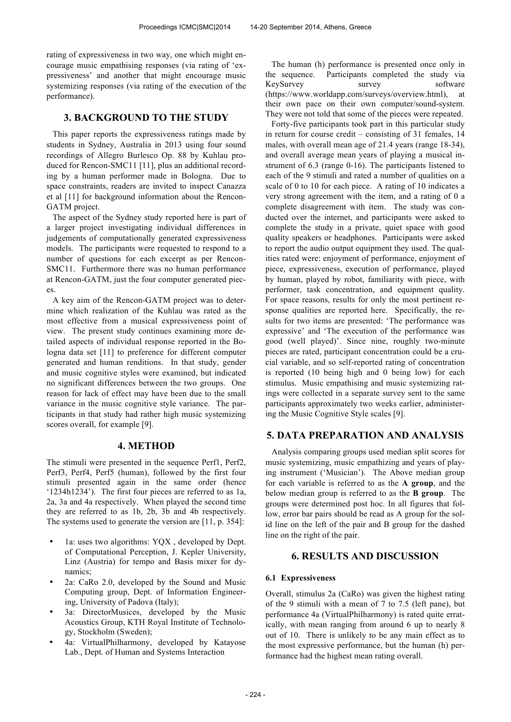rating of expressiveness in two way, one which might encourage music empathising responses (via rating of 'expressiveness' and another that might encourage music systemizing responses (via rating of the execution of the performance).

## **3. BACKGROUND TO THE STUDY**

This paper reports the expressiveness ratings made by students in Sydney, Australia in 2013 using four sound recordings of Allegro Burlesco Op. 88 by Kuhlau produced for Rencon-SMC11 [11], plus an additional recording by a human performer made in Bologna. Due to space constraints, readers are invited to inspect Canazza et al [11] for background information about the Rencon-GATM project.

The aspect of the Sydney study reported here is part of a larger project investigating individual differences in judgements of computationally generated expressiveness models. The participants were requested to respond to a number of questions for each excerpt as per Rencon-SMC11. Furthermore there was no human performance at Rencon-GATM, just the four computer generated pieces.

A key aim of the Rencon-GATM project was to determine which realization of the Kuhlau was rated as the most effective from a musical expressiveness point of view. The present study continues examining more detailed aspects of individual response reported in the Bologna data set [11] to preference for different computer generated and human renditions. In that study, gender and music cognitive styles were examined, but indicated no significant differences between the two groups. One reason for lack of effect may have been due to the small variance in the music cognitive style variance. The participants in that study had rather high music systemizing scores overall, for example [9].

## **4. METHOD**

The stimuli were presented in the sequence Perf1, Perf2, Perf3, Perf4, Perf5 (human), followed by the first four stimuli presented again in the same order (hence '1234h1234'). The first four pieces are referred to as 1a, 2a, 3a and 4a respectively. When played the second time they are referred to as 1b, 2b, 3b and 4b respectively. The systems used to generate the version are [11, p. 354]:

- 1a: uses two algorithms: YOX, developed by Dept. of Computational Perception, J. Kepler University, Linz (Austria) for tempo and Basis mixer for dynamics;
- 2a: CaRo 2.0, developed by the Sound and Music Computing group, Dept. of Information Engineering, University of Padova (Italy);
- 3a: DirectorMusices, developed by the Music Acoustics Group, KTH Royal Institute of Technology, Stockholm (Sweden);
- 4a: VirtualPhilharmony, developed by Katayose Lab., Dept. of Human and Systems Interaction

The human (h) performance is presented once only in the sequence. Participants completed the study via KeySurvey survey survey software (https://www.worldapp.com/surveys/overview.html), at their own pace on their own computer/sound-system. They were not told that some of the pieces were repeated.

Forty-five participants took part in this particular study in return for course credit – consisting of 31 females, 14 males, with overall mean age of 21.4 years (range 18-34), and overall average mean years of playing a musical instrument of 6.3 (range 0-16). The participants listened to each of the 9 stimuli and rated a number of qualities on a scale of 0 to 10 for each piece. A rating of 10 indicates a very strong agreement with the item, and a rating of 0 a complete disagreement with item. The study was conducted over the internet, and participants were asked to complete the study in a private, quiet space with good quality speakers or headphones. Participants were asked to report the audio output equipment they used. The qualities rated were: enjoyment of performance, enjoyment of piece, expressiveness, execution of performance, played by human, played by robot, familiarity with piece, with performer, task concentration, and equipment quality. For space reasons, results for only the most pertinent response qualities are reported here. Specifically, the results for two items are presented: 'The performance was expressive' and 'The execution of the performance was good (well played)'. Since nine, roughly two-minute pieces are rated, participant concentration could be a crucial variable, and so self-reported rating of concentration is reported (10 being high and 0 being low) for each stimulus. Music empathising and music systemizing ratings were collected in a separate survey sent to the same participants approximately two weeks earlier, administering the Music Cognitive Style scales [9].

## **5. DATA PREPARATION AND ANALYSIS**

Analysis comparing groups used median split scores for music systemizing, music empathizing and years of playing instrument ('Musician'). The Above median group for each variable is referred to as the **A group**, and the below median group is referred to as the **B group**. The groups were determined post hoc. In all figures that follow, error bar pairs should be read as A group for the solid line on the left of the pair and B group for the dashed line on the right of the pair.

### **6. RESULTS AND DISCUSSION**

#### **6.1 Expressiveness**

Overall, stimulus 2a (CaRo) was given the highest rating of the 9 stimuli with a mean of 7 to 7.5 (left pane), but performance 4a (VirtualPhilharmony) is rated quite erratically, with mean ranging from around 6 up to nearly 8 out of 10. There is unlikely to be any main effect as to the most expressive performance, but the human (h) performance had the highest mean rating overall.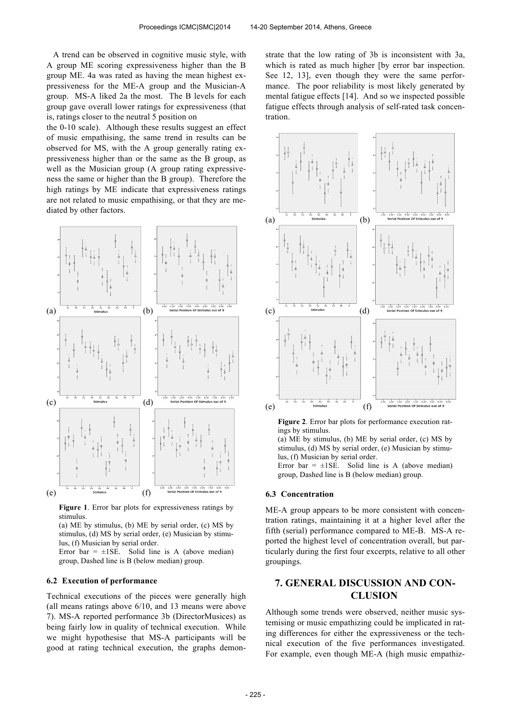A trend can be observed in cognitive music style, with A group ME scoring expressiveness higher than the B group ME. 4a was rated as having the mean highest expressiveness for the ME-A group and the Musician-A group. MS-A liked 2a the most. The B levels for each group gave overall lower ratings for expressiveness (that is, ratings closer to the neutral 5 position on

the 0-10 scale). Although these results suggest an effect of music empathising, the same trend in results can be observed for MS, with the A group generally rating expressiveness higher than or the same as the B group, as well as the Musician group (A group rating expressiveness the same or higher than the B group). Therefore the high ratings by ME indicate that expressiveness ratings are not related to music empathising, or that they are mediated by other factors.



**Figure 1**. Error bar plots for expressiveness ratings by stimulus.

(a) ME by stimulus, (b) ME by serial order, (c) MS by stimulus, (d) MS by serial order, (e) Musician by stimulus, (f) Musician by serial order.

Error bar =  $\pm$ 1SE. Solid line is A (above median) group, Dashed line is B (below median) group.

#### **6.2 Execution of performance**

Technical executions of the pieces were generally high (all means ratings above 6/10, and 13 means were above 7). MS-A reported performance 3b (DirectorMusices) as being fairly low in quality of technical execution. While we might hypothesise that MS-A participants will be good at rating technical execution, the graphs demonstrate that the low rating of 3b is inconsistent with 3a, which is rated as much higher [by error bar inspection. See 12, 13], even though they were the same performance. The poor reliability is most likely generated by mental fatigue effects [14]. And so we inspected possible fatigue effects through analysis of self-rated task concentration.



**Figure 2**. Error bar plots for performance execution ratings by stimulus.

(a) ME by stimulus, (b) ME by serial order, (c) MS by stimulus, (d) MS by serial order, (e) Musician by stimulus, (f) Musician by serial order.

Error bar =  $\pm$ 1SE. Solid line is A (above median) group, Dashed line is B (below median) group.

#### **6.3 Concentration**

ME-A group appears to be more consistent with concentration ratings, maintaining it at a higher level after the fifth (serial) performance compared to ME-B. MS-A reported the highest level of concentration overall, but particularly during the first four excerpts, relative to all other groupings.

# **7. GENERAL DISCUSSION AND CON-CLUSION**

Although some trends were observed, neither music systemising or music empathizing could be implicated in rating differences for either the expressiveness or the technical execution of the five performances investigated. For example, even though ME-A (high music empathiz-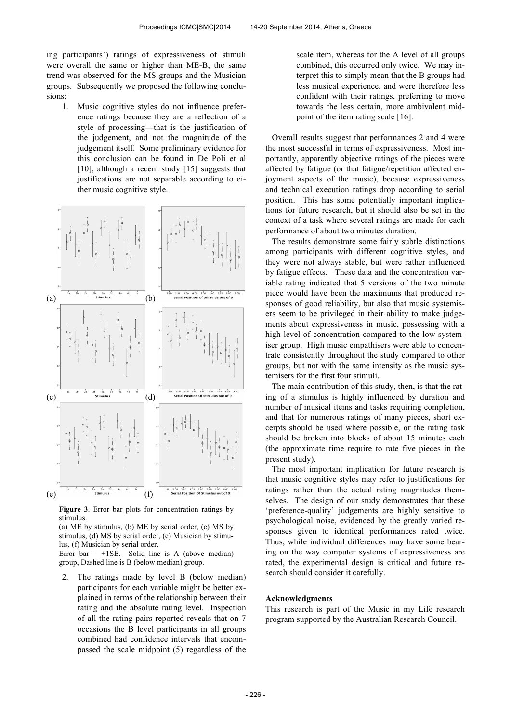ing participants') ratings of expressiveness of stimuli were overall the same or higher than ME-B, the same trend was observed for the MS groups and the Musician groups. Subsequently we proposed the following conclusions:

1. Music cognitive styles do not influence preference ratings because they are a reflection of a style of processing—that is the justification of the judgement, and not the magnitude of the judgement itself. Some preliminary evidence for this conclusion can be found in De Poli et al [10], although a recent study [15] suggests that justifications are not separable according to either music cognitive style.



**Figure 3**. Error bar plots for concentration ratings by stimulus.

(a) ME by stimulus, (b) ME by serial order, (c) MS by stimulus, (d) MS by serial order, (e) Musician by stimulus, (f) Musician by serial order.

Error bar =  $\pm$ 1SE. Solid line is A (above median) group, Dashed line is B (below median) group.

2. The ratings made by level B (below median) participants for each variable might be better explained in terms of the relationship between their rating and the absolute rating level. Inspection of all the rating pairs reported reveals that on 7 occasions the B level participants in all groups combined had confidence intervals that encompassed the scale midpoint (5) regardless of the

scale item, whereas for the A level of all groups combined, this occurred only twice. We may interpret this to simply mean that the B groups had less musical experience, and were therefore less confident with their ratings, preferring to move towards the less certain, more ambivalent midpoint of the item rating scale [16].

 Overall results suggest that performances 2 and 4 were the most successful in terms of expressiveness. Most importantly, apparently objective ratings of the pieces were affected by fatigue (or that fatigue/repetition affected enjoyment aspects of the music), because expressiveness and technical execution ratings drop according to serial position. This has some potentially important implications for future research, but it should also be set in the context of a task where several ratings are made for each performance of about two minutes duration.

 The results demonstrate some fairly subtle distinctions among participants with different cognitive styles, and they were not always stable, but were rather influenced by fatigue effects. These data and the concentration variable rating indicated that 5 versions of the two minute piece would have been the maximums that produced responses of good reliability, but also that music systemisers seem to be privileged in their ability to make judgements about expressiveness in music, possessing with a high level of concentration compared to the low systemiser group. High music empathisers were able to concentrate consistently throughout the study compared to other groups, but not with the same intensity as the music systemisers for the first four stimuli.

 The main contribution of this study, then, is that the rating of a stimulus is highly influenced by duration and number of musical items and tasks requiring completion, and that for numerous ratings of many pieces, short excerpts should be used where possible, or the rating task should be broken into blocks of about 15 minutes each (the approximate time require to rate five pieces in the present study).

 The most important implication for future research is that music cognitive styles may refer to justifications for ratings rather than the actual rating magnitudes themselves. The design of our study demonstrates that these 'preference-quality' judgements are highly sensitive to psychological noise, evidenced by the greatly varied responses given to identical performances rated twice. Thus, while individual differences may have some bearing on the way computer systems of expressiveness are rated, the experimental design is critical and future research should consider it carefully.

#### **Acknowledgments**

This research is part of the Music in my Life research program supported by the Australian Research Council.